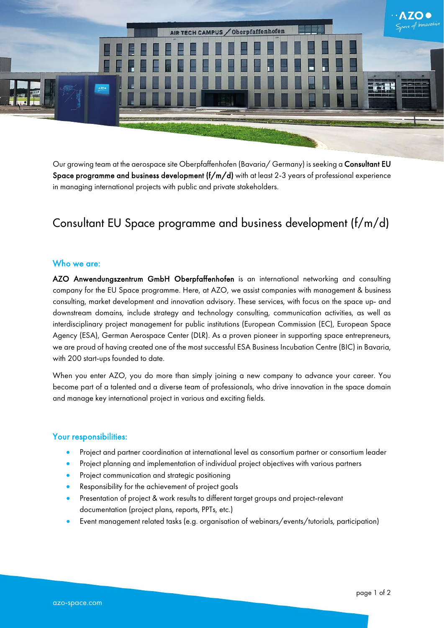

Our growing team at the aerospace site Oberpfaffenhofen (Bavaria/ Germany) is seeking a Consultant EU Space programme and business development  $(f/m/d)$  with at least 2-3 years of professional experience in managing international projects with public and private stakeholders.

# Consultant EU Space programme and business development (f/m/d)

## Who we are:

AZO Anwendungszentrum GmbH Oberpfaffenhofen is an international networking and consulting company for the EU Space programme. Here, at AZO, we assist companies with management & business consulting, market development and innovation advisory. These services, with focus on the space up- and downstream domains, include strategy and technology consulting, communication activities, as well as interdisciplinary project management for public institutions (European Commission (EC), European Space Agency (ESA), German Aerospace Center (DLR). As a proven pioneer in supporting space entrepreneurs, we are proud of having created one of the most successful ESA Business Incubation Centre (BIC) in Bavaria, with 200 start-ups founded to date.

When you enter AZO, you do more than simply joining a new company to advance your career. You become part of a talented and a diverse team of professionals, who drive innovation in the space domain and manage key international project in various and exciting fields.

#### Your responsibilities:

- Project and partner coordination at international level as consortium partner or consortium leader
- Project planning and implementation of individual project objectives with various partners
- Project communication and strategic positioning
- Responsibility for the achievement of project goals
- Presentation of project & work results to different target groups and project-relevant documentation (project plans, reports, PPTs, etc.)
- Event management related tasks (e.g. organisation of webinars/events/tutorials, participation)